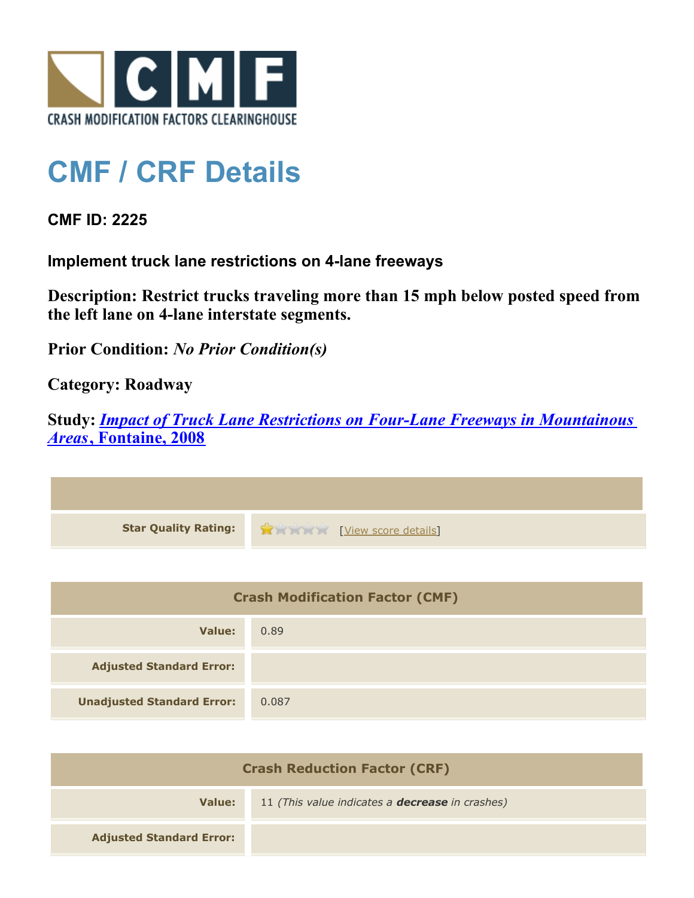

## **CMF / CRF Details**

**CMF ID: 2225**

**Implement truck lane restrictions on 4-lane freeways**

**Description: Restrict trucks traveling more than 15 mph below posted speed from the left lane on 4-lane interstate segments.**

**Prior Condition:** *No Prior Condition(s)*

**Category: Roadway**

**Study:** *[Impact of Truck Lane Restrictions on Four-Lane Freeways in Mountainous](http://www.cmfclearinghouse.org/study_detail.cfm?stid=135) [Areas](http://www.cmfclearinghouse.org/study_detail.cfm?stid=135)***[, Fontaine, 2008](http://www.cmfclearinghouse.org/study_detail.cfm?stid=135)**



| <b>Crash Modification Factor (CMF)</b> |       |
|----------------------------------------|-------|
| Value:                                 | 0.89  |
| <b>Adjusted Standard Error:</b>        |       |
| <b>Unadjusted Standard Error:</b>      | 0.087 |

| <b>Crash Reduction Factor (CRF)</b> |                                                        |
|-------------------------------------|--------------------------------------------------------|
| Value:                              | 11 (This value indicates a <b>decrease</b> in crashes) |
| <b>Adjusted Standard Error:</b>     |                                                        |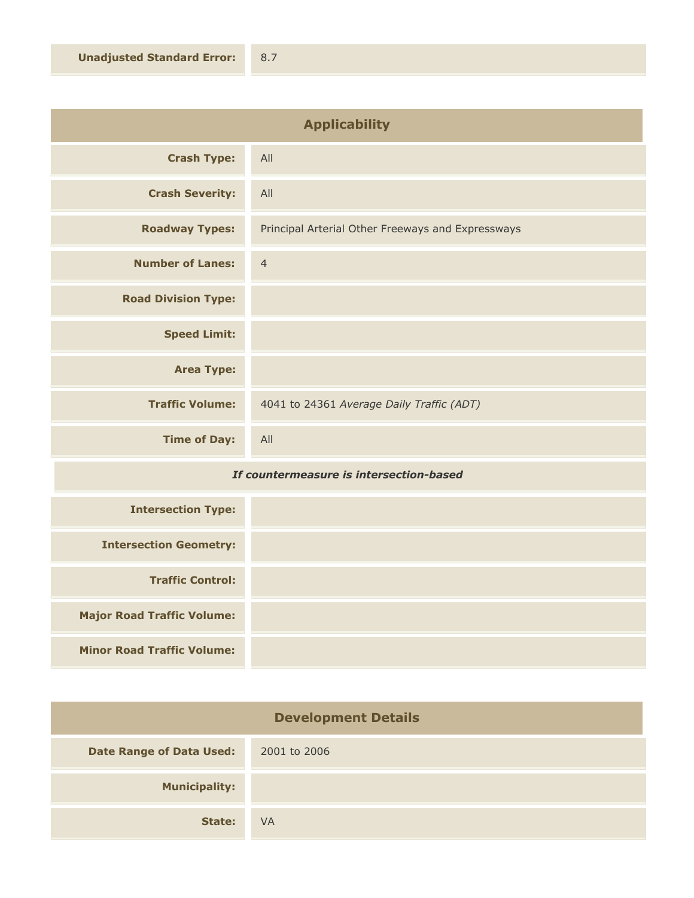| <b>Applicability</b>       |                                                   |
|----------------------------|---------------------------------------------------|
| <b>Crash Type:</b>         | All                                               |
| <b>Crash Severity:</b>     | All                                               |
| <b>Roadway Types:</b>      | Principal Arterial Other Freeways and Expressways |
| <b>Number of Lanes:</b>    | $\overline{4}$                                    |
| <b>Road Division Type:</b> |                                                   |
| <b>Speed Limit:</b>        |                                                   |
| <b>Area Type:</b>          |                                                   |
| <b>Traffic Volume:</b>     | 4041 to 24361 Average Daily Traffic (ADT)         |
| <b>Time of Day:</b>        | All                                               |

## *If countermeasure is intersection-based*

| <b>Intersection Type:</b>         |  |
|-----------------------------------|--|
| <b>Intersection Geometry:</b>     |  |
| <b>Traffic Control:</b>           |  |
| <b>Major Road Traffic Volume:</b> |  |
| <b>Minor Road Traffic Volume:</b> |  |

| <b>Development Details</b>      |              |
|---------------------------------|--------------|
| <b>Date Range of Data Used:</b> | 2001 to 2006 |
| <b>Municipality:</b>            |              |
| State:                          | <b>VA</b>    |